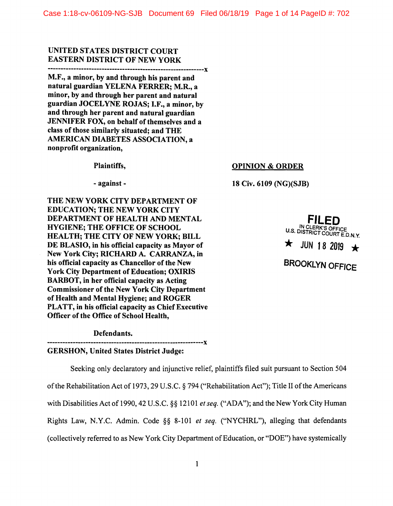# UNITED STATES DISTRICT COURT EASTERN DISTRICT OF NEW YORK

-------------------------------------------------------------x

M.F., a minor, by and through his parent and natural guardian YELENA FERRER; M.R., a minor, by and through her parent and natural guardian JOCELYNE ROJAS; I.F., a minor, by and through her parent and natural guardian JENNIFER FOX, on behalf of themselves and a class of those similarly situated; and THE AMERICAN DIABETES ASSOCIATION, a nonprofit organization,

Plaintiffs,

- against -

THE NEW YORK CITY DEPARTMENT OF EDUCATION; THE NEW YORK CITY DEPARTMENT OF HEALTH AND MENTAL HYGIENE; THE OFFICE OF SCHOOL HEALTH; THE CITY OF NEW YORK; BILL DE BLASIO, in his official capacity as Mayor of New York City; RICHARD A. CARRANZA, in his official capacity as Chancellor of the New York City Department of Education; OXIRIS BARBOT, in her official capacity as Acting Commissioner of the New York City Department of Health and Mental Hygiene; and ROGER PLATT, in his official capacity as Chief Executive Officer of the Office of School Health,

Defendants.

GERSHON, United States District Judge:

Seeking only declaratory and injunctive relief, plaintiffs filed suit pursuant to Section 504 of the Rehabilitation Act of 1973, 29 U.S.C. § 794 ("Rehabilitation Act"); Title II of the Americans with Disabilities Act of 1990, 42 U.S.C. §§ 12101 *et seq.* ("ADA"); and the New York City Human Rights Law, N.Y.C. Admin. Code §§ 8-101 *et seq.* ("NYCHRL"), alleging that defendants ( collectively referred to as New York City Department of Education, or "DOE") have systemically

**-------------------------------------------------------------x** 

**FILED IN CLERK'S** OFFICE  $\star$  JUN 18 2019  $\star$ **BROOKLYN OFFICE** 

**OPINION** & **ORDER** 

**18 Civ. 6109 (NG)(SJB)**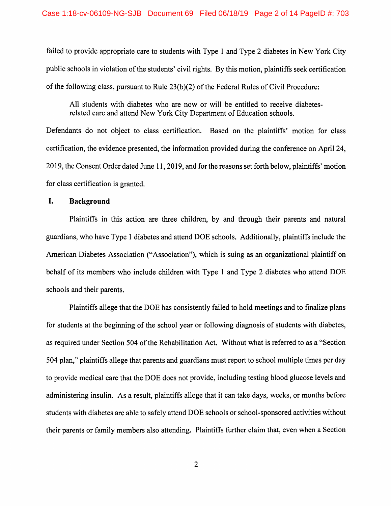failed to provide appropriate care to students with Type 1 and Type 2 diabetes in New York City public schools in violation of the students' civil rights. By this motion, plaintiffs seek certification of the following class, pursuant to Rule 23(b )(2) of the Federal Rules of Civil Procedure:

All students with diabetes who are now or will be entitled to receive diabetesrelated care and attend New York City Department of Education schools.

Defendants do not object to class certification. Based on the plaintiffs' motion for class certification, the evidence presented, the information provided during the conference on April 24, 2019, the Consent Order dated June 11, 2019, and for the reasons set forth below, plaintiffs' motion for class certification is granted.

## **I. Background**

Plaintiffs in this action are three children, by and through their parents and natural guardians, who have Type 1 diabetes and attend DOE schools. Additionally, plaintiffs include the American Diabetes Association ("Association"), which is suing as an organizational plaintiff on behalf of its members who include children with Type 1 and Type 2 diabetes who attend DOE schools and their parents.

Plaintiffs allege that the DOE has consistently failed to hold meetings and to finalize plans for students at the beginning of the school year or following diagnosis of students with diabetes, as required under Section 504 of the Rehabilitation Act. Without what is referred to as a "Section 504 plan," plaintiffs allege that parents and guardians must report to school multiple times per day to provide medical care that the DOE does not provide, including testing blood glucose levels and administering insulin. As a result, plaintiffs allege that it can take days, weeks, or months before students with diabetes are able to safely attend DOE schools or school-sponsored activities without their parents or family members also attending. Plaintiffs further claim that, even when a Section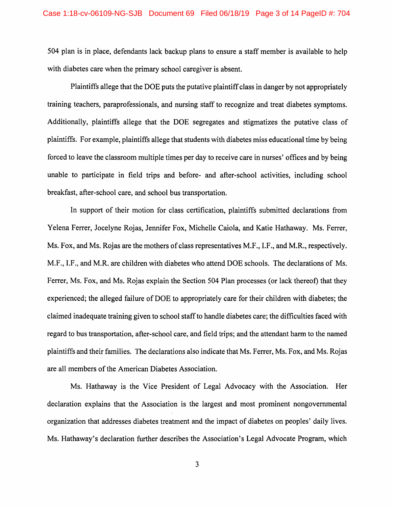504 plan is in place, defendants lack backup plans to ensure a staff member is available to help with diabetes care when the primary school caregiver is absent.

Plaintiffs allege that the DOE puts the putative plaintiff class in danger by not appropriately training teachers, paraprofessionals, and nursing staff to recognize and treat diabetes symptoms. Additionally, plaintiffs allege that the DOE segregates and stigmatizes the putative class of plaintiffs. For example, plaintiffs allege that students with diabetes miss educational time by being forced to leave the classroom multiple times per day to receive care in nurses' offices and by being unable to participate in field trips and before- and after-school activities, including school breakfast, after-school care, and school bus transportation.

In support of their motion for class certification, plaintiffs submitted declarations from Yelena Ferrer, Jocelyne Rojas, Jennifer Fox, Michelle Caiola, and Katie Hathaway. Ms. Ferrer, Ms. Fox, and Ms. Rojas are the mothers of class representatives M.F., I.F., and M.R., respectively. M.F., I.F., and M.R. are children with diabetes who attend DOE schools. The declarations of Ms. Ferrer, Ms. Fox, and Ms. Rojas explain the Section 504 Plan processes (or lack thereof) that they experienced; the alleged failure of DOE to appropriately care for their children with diabetes; the claimed inadequate training given to school staff to handle diabetes care; the difficulties faced with regard to bus transportation, after-school care, and field trips; and the attendant harm to the named plaintiffs and their families. The declarations also indicate that Ms. Ferrer, Ms. Fox, and Ms. Rojas are all members of the American Diabetes Association.

Ms. Hathaway is the Vice President of Legal Advocacy with the Association. Her declaration explains that the Association is the largest and most prominent nongovernmental organization that addresses diabetes treatment and the impact of diabetes on peoples' daily lives. Ms. Hathaway's declaration further describes the Association's Legal Advocate Program, which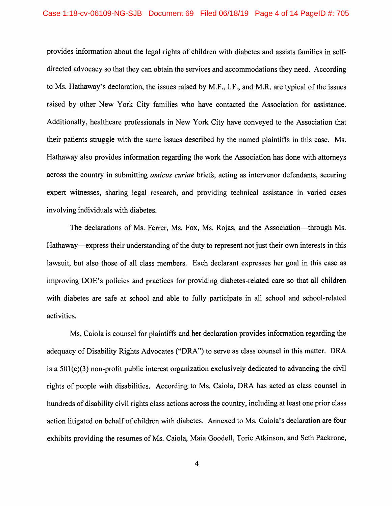provides information about the legal rights of children with diabetes and assists families in selfdirected advocacy so that they can obtain the services and accommodations they need. According to Ms. Hathaway's declaration, the issues raised by M.F., I.F., and M.R. are typical of the issues raised by other New York City families who have contacted the Association for assistance. Additionally, healthcare professionals in New York City have conveyed to the Association that their patients struggle with the same issues described by the named plaintiffs in this case. Ms. Hathaway also provides information regarding the work the Association has done with attorneys across the country in submitting *amicus curiae* briefs, acting as intervenor defendants, securing expert witnesses, sharing legal research, and providing technical assistance in varied cases involving individuals with diabetes.

The declarations of Ms. Ferrer, Ms. Fox, Ms. Rojas, and the Association—through Ms. Hathaway—express their understanding of the duty to represent not just their own interests in this lawsuit, but also those of all class members. Each declarant expresses her goal in this case as improving DOE's policies and practices for providing diabetes-related care so that all children with diabetes are safe at school and able to fully participate in all school and school-related activities.

Ms. Caiola is counsel for plaintiffs and her declaration provides information regarding the adequacy of Disability Rights Advocates ("DRA") to serve as class counsel in this matter. DRA is a 501(c)(3) non-profit public interest organization exclusively dedicated to advancing the civil rights of people with disabilities. According to Ms. Caiola, DRA has acted as class counsel in hundreds of disability civil rights class actions across the country, including at least one prior class action litigated on behalf of children with diabetes. Annexed to Ms. Caiola's declaration are four exhibits providing the resumes of Ms. Caiola, Maia Goodell, Torie Atkinson, and Seth Packrone,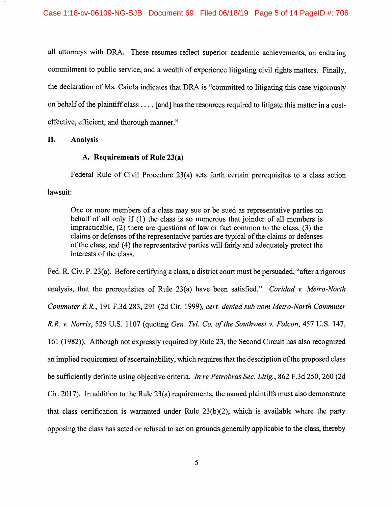all attorneys with DRA. These resumes reflect superior academic achievements, an enduring commitment to public service, and a wealth of experience litigating civil rights matters. Finally, the declaration of Ms. Caiola indicates that DRA is "committed to litigating this case vigorously on behalf of the plaintiff class .... [ and] has the resources required to litigate this matter in a costeffective, efficient, and thorough manner."

### II. **Analysis**

## **A. Requirements of Rule 23(a)**

Federal Rule of Civil Procedure 23(a) sets forth certain prerequisites to a class action lawsuit:

One or more members of a class may sue or be sued as representative parties on behalf of all only if (1) the class is so numerous that joinder of all members is impracticable, (2) there are questions of law or fact common to the class, (3) the claims or defenses of the representative parties are typical of the claims or defenses of the class, and (4) the representative parties will fairly and adequately protect the interests of the class.

Fed. R. Civ. P. 23(a). Before certifying a class, a district court must be persuaded, "after a rigorous analysis, that the prerequisites of Rule 23(a) have been satisfied." *Caridad v. Metro-North Commuter R.R.,* 191 F.3d 283,291 (2d Cir. 1999), *cert. denied sub nom Metro-North Commuter R.R. v. Norris,* 529 U.S. 1107 (quoting *Gen. Tel. Co. of the Southwest v. Falcon,* 457 U.S. 147, 161 (1982)). Although not expressly required by Rule 23, the Second Circuit has also recognized an implied requirement of ascertainability, which requires that the description of the proposed class be sufficiently definite using objective criteria. *In re Petrobras Sec. Litig.*, 862 F.3d 250, 260 (2d Cir. 2017). In addition to the Rule 23(a) requirements, the named plaintiffs must also demonstrate that class certification is warranted under Rule  $23(b)(2)$ , which is available where the party opposing the class has acted or refused to act on grounds generally applicable to the class, thereby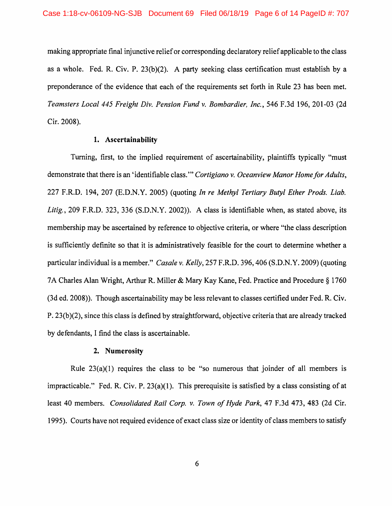making appropriate final injunctive relief or corresponding declaratory relief applicable to the class as a whole. Fed. R. Civ. P. 23(b)(2). A party seeking class certification must establish by a preponderance of the evidence that each of the requirements set forth in Rule 23 has been met. *Teamsters Local 445 Freight Div. Pension Fund v. Bombardier, Inc.,* 546 F.3d 196, 201-03 (2d Cir. 2008).

#### **1. Ascertainability**

Turning, first, to the implied requirement of ascertainability, plaintiffs typically "must demonstrate that there is an 'identifiable class.'" *Cortigiano v. Oceanview Manor Home for Adults,*  227 F.R.D. 194, 207 (E.D.N.Y. 2005) (quoting *In re Methyl Tertiary Butyl Ether Prods. Liab. Litig.,* 209 F.R.D. 323, 336 (S.D.N.Y. 2002)). A class is identifiable when, as stated above, its membership may be ascertained by reference to objective criteria, or where "the class description is sufficiently definite so that it is administratively feasible for the court to determine whether a particular individual is a member." *Casale v. Kelly,* 257 F.R.D. 396,406 (S.D.N.Y. 2009) (quoting 7A Charles Alan Wright, Arthur R. Miller & Mary Kay Kane, Fed. Practice and Procedure§ 1760 (3d ed. 2008)). Though ascertainability may be less relevant to classes certified under Fed. R. Civ. P. 23(b)(2), since this class is defined by straightforward, objective criteria that are already tracked by defendants, I find the class is ascertainable.

#### **2. Numerosity**

Rule  $23(a)(1)$  requires the class to be "so numerous that joinder of all members is impracticable." Fed. R. Civ. P.  $23(a)(1)$ . This prerequisite is satisfied by a class consisting of at least 40 members. *Consolidated Rail Corp. v. Town of Hyde Park,* 47 F.3d 473, 483 (2d Cir. 1995). Courts have not required evidence of exact class size or identity of class members to satisfy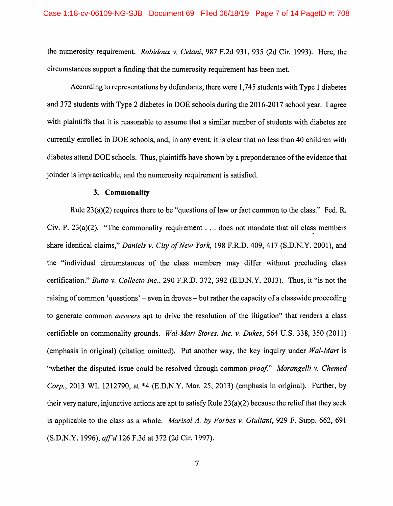the numerosity requirement. *Robidoux v. Celani,* 987 F.2d 931, 935 (2d Cir. 1993). Here, the circumstances support a finding that the numerosity requirement has been met.

According to representations by defendants, there were 1,745 students with Type 1 diabetes and 372 students with Type 2 diabetes in DOE schools during the 2016-2017 school year. I agree with plaintiffs that it is reasonable to assume that a similar number of students with diabetes are currently enrolled in DOE schools, and, in any event, it is clear that no less than 40 children with diabetes attend DOE schools. Thus, plaintiffs have shown by a preponderance of the evidence that joinder is impracticable, and the numerosity requirement is satisfied.

#### **3. Commonality**

Rule 23(a)(2) requires there to be "questions of law or fact common to the class." Fed. R. Civ. P.  $23(a)(2)$ . "The commonality requirement . . . does not mandate that all class members share identical claims," *Daniels v. City of New York,* 198 F.R.D. 409,417 (S.D.N.Y. 2001), and the "individual circumstances of the class members may differ without precluding class certification." *Butto v. Collecto Inc.,* 290 F.R.D. 372, 392 (E.D.N.Y. 2013). Thus, it "is not the raising of common 'questions' – even in droves – but rather the capacity of a classwide proceeding to generate common *answers* apt to drive the resolution of the litigation" that renders a class certifiable on commonality grounds. *Wal-Mart Stores, Inc. v. Dukes,* 564 U.S. 338, 350 (2011) (emphasis in original) (citation omitted). Put another way, the key inquiry under *Wal-Mart* is "whether the disputed issue could be resolved through common *proof" Morangelli v. Chemed Corp.,* 2013 WL 1212790, at \*4 (E.D.N.Y. Mar. 25, 2013) (emphasis in original). Further, by their very nature, injunctive actions are apt to satisfy Rule 23(a)(2) because the relief that they seek is applicable to the class as a whole. *Marisol* A. *by Forbes v. Giuliani,* 929 F. Supp. 662, 691 (S.D.N.Y. 1996), *aff'd* 126 F.3d at 372 (2d Cir. 1997).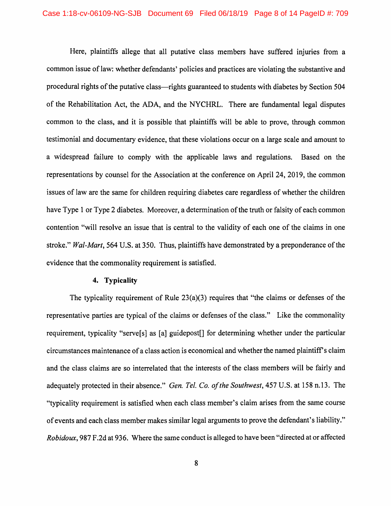Here, plaintiffs allege that all putative class members have suffered injuries from a common issue of law: whether defendants' policies and practices are violating the substantive and procedural rights of the putative class—rights guaranteed to students with diabetes by Section 504 of the Rehabilitation Act, the ADA, and the NYCHRL. There are fundamental legal disputes common to the class, and it is possible that plaintiffs will be able to prove, through common testimonial and documentary evidence, that these violations occur on a large scale and amount to a widespread failure to comply with the applicable laws and regulations. Based on the representations by counsel for the Association at the conference on April 24, 2019, the common issues of law are the same for children requiring diabetes care regardless of whether the children have Type 1 or Type 2 diabetes. Moreover, a determination of the truth or falsity of each common contention "will resolve an issue that is central to the validity of each one of the claims in one stroke." *Wal-Mart,* 564 U.S. at 350. Thus, plaintiffs have demonstrated by a preponderance of the evidence that the commonality requirement is satisfied.

### **4. Typicality**

The typicality requirement of Rule 23(a)(3) requires that "the claims or defenses of the representative parties are typical of the claims or defenses of the class." Like the commonality requirement, typicality "serve[s] as [a] guidepost[] for determining whether under the particular circumstances maintenance of a class action is economical and whether the named plaintiff's claim and the class claims are so interrelated that the interests of the class members will be fairly and adequately protected in their absence." *Gen. Tel. Co. of the Southwest,* 457 U.S. at 158 n.13. The "typicality requirement is satisfied when each class member's claim arises from the same course of events and each class member makes similar legal arguments to prove the defendant's liability." *Robidoux,* 987 F.2d at 936. Where the same conduct is alleged to have been "directed at or affected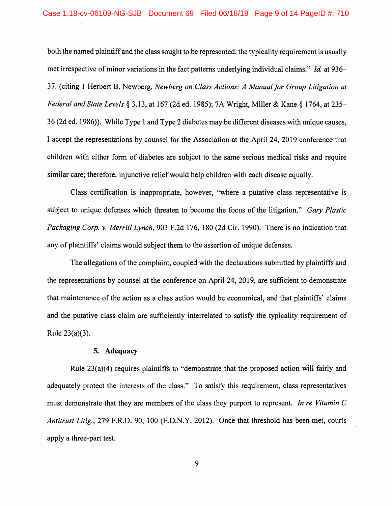both the named plaintiff and the class sought to be represented, the typicality requirement is usually met irrespective of minor variations in the fact patterns underlying individual claims." *Id.* at 936- 37. (citing 1 Herbert B. Newberg, *Newberg on Class Actions: A Manual for Group Litigation at Federal and State Levels§* 3.13, at 167 (2d ed. 1985); 7A Wright, Miller & Kane§ 1764, at 235- 36 (2d ed. 1986)). While Type 1 and Type 2 diabetes may be different diseases with unique causes, I accept the representations by counsel for the Association at the April 24, 2019 conference that children with either form of diabetes are subject to the same serious medical risks and require similar care; therefore, injunctive relief would help children with each disease equally.

Class certification is inappropriate, however, "where a putative class representative is subject to unique defenses which threaten to become the focus of the litigation." *Gary Plastic Packaging Corp. v. Merrill Lynch,* 903 F.2d 176, 180 (2d Cir. 1990). There is no indication that any of plaintiffs' claims would subject them to the assertion of unique defenses.

The allegations of the complaint, coupled with the declarations submitted by plaintiffs and the representations by counsel at the conference on April 24, 2019, are sufficient to demonstrate that maintenance of the action as a class action would be economical, and that plaintiffs' claims and the putative class claim are sufficiently interrelated to satisfy the typicality requirement of Rule 23(a)(3).

#### **5. Adequacy**

Rule  $23(a)(4)$  requires plaintiffs to "demonstrate that the proposed action will fairly and adequately protect the interests of the class." To satisfy this requirement, class representatives must demonstrate that they are members of the class they purport to represent. *In re Vitamin C Antitrust Litig.,* 279 F.R.D. 90, 100 (E.D.N.Y. 2012). Once that threshold has been met, courts apply a three-part test.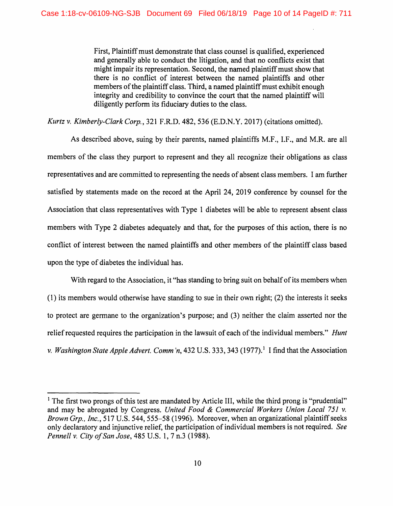First, Plaintiff must demonstrate that class counsel is qualified, experienced and generally able to conduct the litigation, and that no conflicts exist that might impair its representation. Second, the named plaintiff must show that there is no conflict of interest between the named plaintiffs and other members of the plaintiff class. Third, a named plaintiff must exhibit enough integrity and credibility to convince the court that the named plaintiff will diligently perform its fiduciary duties to the class.

*Kurtz v. Kimberly-Clark Corp.,* 321 F.R.D. 482, 536 (E.D.N.Y. 2017) (citations omitted).

As described above, suing by their parents, named plaintiffs M.F., I.F., and M.R. are all members of the class they purport to represent and they all recognize their obligations as class representatives and are committed to representing the needs of absent class members. I am further satisfied by statements made on the record at the April 24, 2019 conference by counsel for the Association that class representatives with Type 1 diabetes will be able to represent absent class members with Type 2 diabetes adequately and that, for the purposes of this action, there is no conflict of interest between the named plaintiffs and other members of the plaintiff class based upon the type of diabetes the individual has.

With regard to the Association, it "has standing to bring suit on behalf of its members when ( 1) its members would otherwise have standing to sue in their own right; (2) the interests it seeks to protect are germane to the organization's purpose; and (3) neither the claim asserted nor the relief requested requires the participation in the lawsuit of each of the individual members." *Hunt v. Washington State Apple Advert. Comm'n,* 432 U.S. 333, 343 (1977).<sup>1</sup> I find that the Association

<sup>&</sup>lt;sup>1</sup> The first two prongs of this test are mandated by Article III, while the third prong is "prudential" and may be abrogated by Congress. *United Food* & *Commercial Workers Union Local 751 v. Brown Grp., Inc.,* 517 U.S. 544, 555-58 (1996). Moreover, when an organizational plaintiff seeks only declaratory and injunctive relief, the participation of individual members is not required. *See Pennell v. City of San Jose,* 485 U.S. 1, 7 n.3 (1988).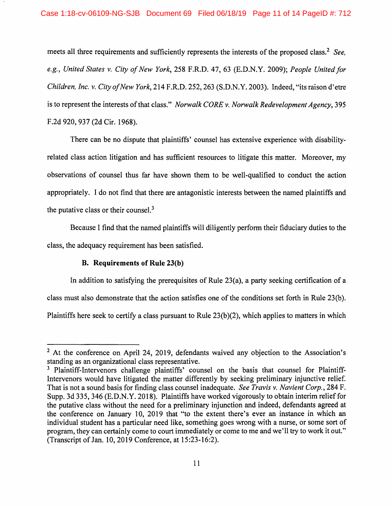meets all three requirements and sufficiently represents the interests of the proposed class. 2 *See, e.g., United States v. City of New York,* 258 F.R.D. 47, 63 (E.D.N.Y. 2009); *People United for Children, Inc. v. City of New York,* 214 F.R.D. 252,263 (S.D.N.Y. 2003). Indeed, "its raison d'etre is to represent the interests of that class." *Norwalk CORE v. Norwalk Redevelopment Agency,* 395 F.2d 920, 937 (2d Cir. 1968).

There can be no dispute that plaintiffs' counsel has extensive experience with disabilityrelated class action litigation and has sufficient resources to litigate this matter. Moreover, my observations of counsel thus far have shown them to be well-qualified to conduct the action appropriately. I do not find that there are antagonistic interests between the named plaintiffs and the putative class or their counsel. $3$ 

Because I find that the named plaintiffs will diligently perform their fiduciary duties to the class, the adequacy requirement has been satisfied.

# **B. Requirements of Rule 23(b)**

In addition to satisfying the prerequisites of Rule 23(a), a party seeking certification of a class must also demonstrate that the action satisfies one of the conditions set forth in Rule 23(b). Plaintiffs here seek to certify a class pursuant to Rule 23(b)(2), which applies to matters in which

<sup>&</sup>lt;sup>2</sup> At the conference on April 24, 2019, defendants waived any objection to the Association's standing as an organizational class representative.

<sup>&</sup>lt;sup>3</sup> Plaintiff-Intervenors challenge plaintiffs' counsel on the basis that counsel for Plaintiff-Intervenors would have litigated the matter differently by seeking preliminary injunctive relief. That is not a sound basis for finding class counsel inadequate. *See Travis v. Navient Corp.,* 284 F. Supp. 3d 335,346 (E.D.N.Y. 2018). Plaintiffs have worked vigorously to obtain interim relief for the putative class without the need for a preliminary injunction and indeed, defendants agreed at the conference on January 10, 2019 that "to the extent there's ever an instance in which an individual student has a particular need like, something goes wrong with a nurse, or some sort of program, they can certainly come to court immediately or come to me and we'll try to work it out." (Transcript of Jan. 10, 2019 Conference, at 15 :23-16:2).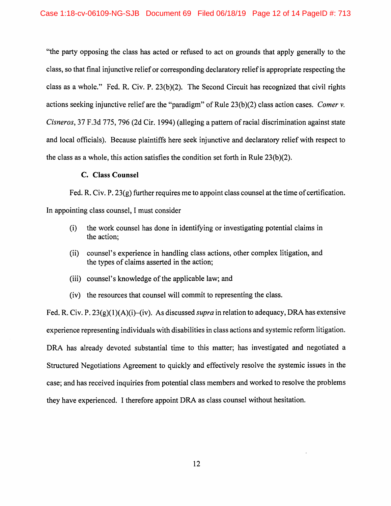"the party opposing the class has acted or refused to act on grounds that apply generally to the class, so that final injunctive relief or corresponding declaratory relief is appropriate respecting the class as a whole." Fed. R. Civ. P. 23(b)(2). The Second Circuit has recognized that civil rights actions seeking injunctive relief are the "paradigm" of Rule 23(b )(2) class action cases. *Comer* v. *Cisneros,* 37 F.3d 775, 796 (2d Cir. 1994) (alleging a pattern ofracial discrimination against state and local officials). Because plaintiffs here seek injunctive and declaratory relief with respect to the class as a whole, this action satisfies the condition set forth in Rule  $23(b)(2)$ .

### **C. Class Counsel**

Fed. R. Civ. P. 23(g) further requires me to appoint class counsel at the time of certification.

In appointing class counsel, I must consider

- (i) the work counsel has done in identifying or investigating potential claims in the action;
- (ii) counsel's experience in handling class actions, other complex litigation, and the types of claims asserted in the action;
- (iii) counsel's knowledge of the applicable law; and
- (iv) the resources that counsel will commit to representing the class.

Fed. R. Civ. P. 23(g)(l)(A)(i)-(iv). As discussed *supra* in relation to adequacy, DRA has extensive experience representing individuals with disabilities in class actions and systemic reform litigation. DRA has already devoted substantial time to this matter; has investigated and negotiated a Structured Negotiations Agreement to quickly and effectively resolve the systemic issues in the case; and has received inquiries from potential class members and worked to resolve the problems they have experienced. I therefore appoint DRA as class counsel without hesitation.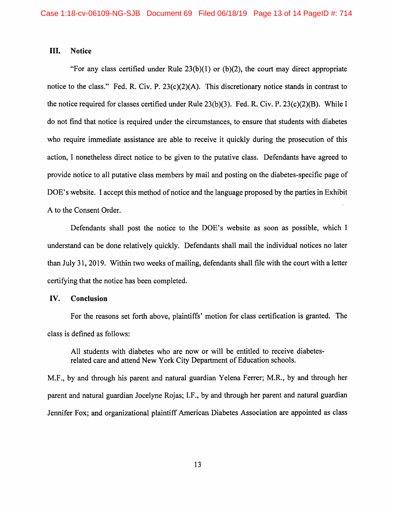#### III. **Notice**

"For any class certified under Rule  $23(b)(1)$  or (b)(2), the court may direct appropriate notice to the class." Fed. R. Civ. P. 23(c)(2)(A). This discretionary notice stands in contrast to the notice required for classes certified under Rule 23(b)(3). Fed. R. Civ. P. 23(c)(2)(B). While I do not find that notice is required under the circumstances, to ensure that students with diabetes who require immediate assistance are able to receive it quickly during the prosecution of this action, I nonetheless direct notice to be given to the putative class. Defendants have agreed to provide notice to all putative class members by mail and posting on the diabetes-specific page of DOE's website. I accept this method of notice and the language proposed by the parties in Exhibit A to the Consent Order.

Defendants shall post the notice to the DOE's website as soon as possible, which I understand can be done relatively quickly. Defendants shall mail the individual notices no later than July 31, 2019. Within two weeks of mailing, defendants shall file with the court with a letter certifying that the notice has been completed.

# **IV. Conclusion**

For the reasons set forth above, plaintiffs' motion for class certification is granted. The class is defined as follows:

All students with diabetes who are now or will be entitled to receive diabetesrelated care and attend New York City Department of Education schools.

M.F., by and through his parent and natural guardian Yelena Ferrer; M.R., by and through her parent and natural guardian Jocelyne Rojas; I.F., by and through her parent and natural guardian Jennifer Fox; and organizational plaintiff American Diabetes Association are appointed as class

13